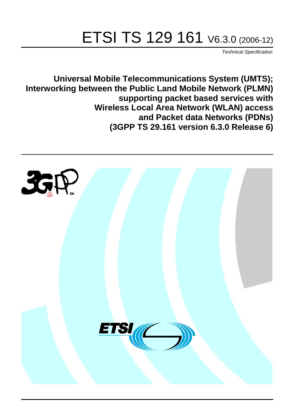# ETSI TS 129 161 V6.3.0 (2006-12)

Technical Specification

**Universal Mobile Telecommunications System (UMTS); Interworking between the Public Land Mobile Network (PLMN) supporting packet based services with Wireless Local Area Network (WLAN) access and Packet data Networks (PDNs) (3GPP TS 29.161 version 6.3.0 Release 6)**

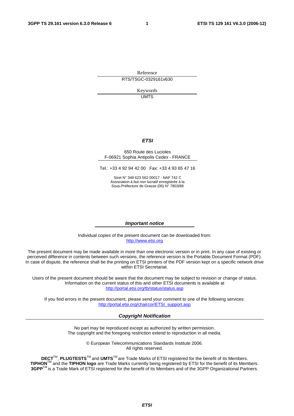Reference RTS/TSGC-0329161v630

> Keywords UMTS

#### **ETSI**

#### 650 Route des Lucioles F-06921 Sophia Antipolis Cedex - FRANCE

Tel.: +33 4 92 94 42 00 Fax: +33 4 93 65 47 16

Siret N° 348 623 562 00017 - NAF 742 C Association à but non lucratif enregistrée à la Sous-Préfecture de Grasse (06) N° 7803/88

#### **Important notice**

Individual copies of the present document can be downloaded from: [http://www.etsi.org](http://www.etsi.org/)

The present document may be made available in more than one electronic version or in print. In any case of existing or perceived difference in contents between such versions, the reference version is the Portable Document Format (PDF). In case of dispute, the reference shall be the printing on ETSI printers of the PDF version kept on a specific network drive within ETSI Secretariat.

Users of the present document should be aware that the document may be subject to revision or change of status. Information on the current status of this and other ETSI documents is available at <http://portal.etsi.org/tb/status/status.asp>

If you find errors in the present document, please send your comment to one of the following services: [http://portal.etsi.org/chaircor/ETSI\\_support.asp](http://portal.etsi.org/chaircor/ETSI_support.asp)

#### **Copyright Notification**

No part may be reproduced except as authorized by written permission. The copyright and the foregoing restriction extend to reproduction in all media.

> © European Telecommunications Standards Institute 2006. All rights reserved.

**DECT**TM, **PLUGTESTS**TM and **UMTS**TM are Trade Marks of ETSI registered for the benefit of its Members. **TIPHON**TM and the **TIPHON logo** are Trade Marks currently being registered by ETSI for the benefit of its Members. **3GPP**TM is a Trade Mark of ETSI registered for the benefit of its Members and of the 3GPP Organizational Partners.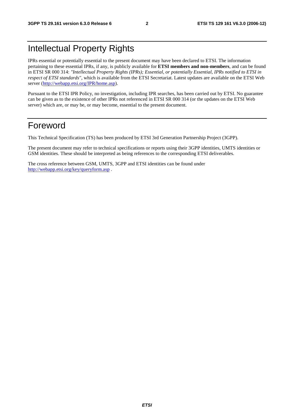### Intellectual Property Rights

IPRs essential or potentially essential to the present document may have been declared to ETSI. The information pertaining to these essential IPRs, if any, is publicly available for **ETSI members and non-members**, and can be found in ETSI SR 000 314: *"Intellectual Property Rights (IPRs); Essential, or potentially Essential, IPRs notified to ETSI in respect of ETSI standards"*, which is available from the ETSI Secretariat. Latest updates are available on the ETSI Web server ([http://webapp.etsi.org/IPR/home.asp\)](http://webapp.etsi.org/IPR/home.asp).

Pursuant to the ETSI IPR Policy, no investigation, including IPR searches, has been carried out by ETSI. No guarantee can be given as to the existence of other IPRs not referenced in ETSI SR 000 314 (or the updates on the ETSI Web server) which are, or may be, or may become, essential to the present document.

### Foreword

This Technical Specification (TS) has been produced by ETSI 3rd Generation Partnership Project (3GPP).

The present document may refer to technical specifications or reports using their 3GPP identities, UMTS identities or GSM identities. These should be interpreted as being references to the corresponding ETSI deliverables.

The cross reference between GSM, UMTS, 3GPP and ETSI identities can be found under <http://webapp.etsi.org/key/queryform.asp>.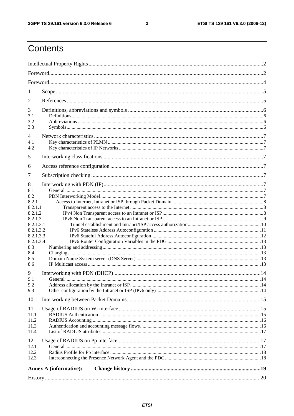#### $\mathbf{3}$

### Contents

| 1                  |                               |  |  |  |  |  |
|--------------------|-------------------------------|--|--|--|--|--|
| 2                  |                               |  |  |  |  |  |
| 3                  |                               |  |  |  |  |  |
| 3.1                |                               |  |  |  |  |  |
| 3.2                |                               |  |  |  |  |  |
| 3.3                |                               |  |  |  |  |  |
| $\overline{4}$     |                               |  |  |  |  |  |
| 4.1<br>4.2         |                               |  |  |  |  |  |
|                    |                               |  |  |  |  |  |
| 5                  |                               |  |  |  |  |  |
| 6                  |                               |  |  |  |  |  |
| 7                  |                               |  |  |  |  |  |
| 8                  |                               |  |  |  |  |  |
| 8.1                |                               |  |  |  |  |  |
| 8.2                |                               |  |  |  |  |  |
| 8.2.1              |                               |  |  |  |  |  |
| 8.2.1.1            |                               |  |  |  |  |  |
| 8.2.1.2<br>8.2.1.3 |                               |  |  |  |  |  |
| 8.2.1.3.1          |                               |  |  |  |  |  |
| 8.2.1.3.2          |                               |  |  |  |  |  |
| 8.2.1.3.3          |                               |  |  |  |  |  |
| 8.2.1.3.4          |                               |  |  |  |  |  |
| 8.3                |                               |  |  |  |  |  |
| 8.4<br>8.5         |                               |  |  |  |  |  |
| 8.6                |                               |  |  |  |  |  |
| 9                  |                               |  |  |  |  |  |
| 9.1                |                               |  |  |  |  |  |
| 9.2                |                               |  |  |  |  |  |
| 9.3                |                               |  |  |  |  |  |
| 10                 |                               |  |  |  |  |  |
| 11                 |                               |  |  |  |  |  |
| 11.1               |                               |  |  |  |  |  |
| 11.2               |                               |  |  |  |  |  |
| 11.3               |                               |  |  |  |  |  |
| 11.4               |                               |  |  |  |  |  |
| 12                 |                               |  |  |  |  |  |
| 12.1               |                               |  |  |  |  |  |
| 12.2<br>12.3       |                               |  |  |  |  |  |
|                    |                               |  |  |  |  |  |
|                    | <b>Annex A (informative):</b> |  |  |  |  |  |
|                    |                               |  |  |  |  |  |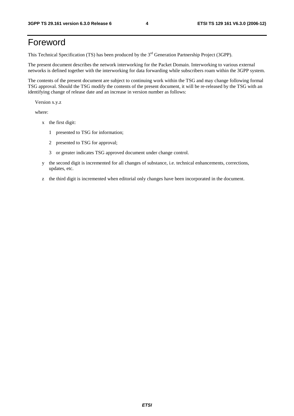### Foreword

This Technical Specification (TS) has been produced by the 3<sup>rd</sup> Generation Partnership Project (3GPP).

The present document describes the network interworking for the Packet Domain. Interworking to various external networks is defined together with the interworking for data forwarding while subscribers roam within the 3GPP system.

The contents of the present document are subject to continuing work within the TSG and may change following formal TSG approval. Should the TSG modify the contents of the present document, it will be re-released by the TSG with an identifying change of release date and an increase in version number as follows:

Version x.y.z

where:

- x the first digit:
	- 1 presented to TSG for information;
	- 2 presented to TSG for approval;
	- 3 or greater indicates TSG approved document under change control.
- y the second digit is incremented for all changes of substance, i.e. technical enhancements, corrections, updates, etc.
- z the third digit is incremented when editorial only changes have been incorporated in the document.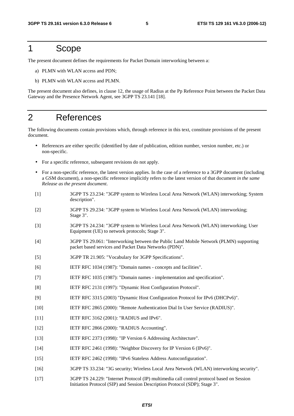### 1 Scope

The present document defines the requirements for Packet Domain interworking between a:

- a) PLMN with WLAN access and PDN;
- b) PLMN with WLAN access and PLMN.

The present document also defines, in clause 12, the usage of Radius at the Pp Reference Point between the Packet Data Gateway and the Presence Network Agent, see 3GPP TS 23.141 [18].

### 2 References

The following documents contain provisions which, through reference in this text, constitute provisions of the present document.

- References are either specific (identified by date of publication, edition number, version number, etc.) or non-specific.
- For a specific reference, subsequent revisions do not apply.
- For a non-specific reference, the latest version applies. In the case of a reference to a 3GPP document (including a GSM document), a non-specific reference implicitly refers to the latest version of that document *in the same Release as the present document*.
- [1] 3GPP TS 23.234: "3GPP system to Wireless Local Area Network (WLAN) interworking; System description".
- [2] 3GPP TS 29.234: "3GPP system to Wireless Local Area Network (WLAN) interworking; Stage 3".
- [3] 3GPP TS 24.234: "3GPP system to Wireless Local Area Network (WLAN) interworking; User Equipment (UE) to network protocols; Stage 3".
- [4] 3GPP TS 29.061: "Interworking between the Public Land Mobile Network (PLMN) supporting packet based services and Packet Data Networks (PDN)".
- [5] 3GPP TR 21.905: "Vocabulary for 3GPP Specifications".
- [6] IETF RFC 1034 (1987): "Domain names concepts and facilities".
- [7] IETF RFC 1035 (1987): "Domain names implementation and specification".
- [8] IETF RFC 2131 (1997): "Dynamic Host Configuration Protocol".
- [9] IETF RFC 3315 (2003) "Dynamic Host Configuration Protocol for IPv6 (DHCPv6)".
- [10] IETF RFC 2865 (2000): "Remote Authentication Dial In User Service (RADIUS)".
- [11] **IETF RFC 3162 (2001): "RADIUS and IPv6".**
- [12] IETF RFC 2866 (2000): "RADIUS Accounting".
- [13] IETF RFC 2373 (1998): "IP Version 6 Addressing Architecture".
- [14] IETF RFC 2461 (1998): "Neighbor Discovery for IP Version 6 (IPv6)".
- [15] IETF RFC 2462 (1998): "IPv6 Stateless Address Autoconfiguration".
- [16] 3GPP TS 33.234: "3G security; Wireless Local Area Network (WLAN) interworking security".
- [17] 3GPP TS 24.229: "Internet Protocol (IP) multimedia call control protocol based on Session Initiation Protocol (SIP) and Session Description Protocol (SDP); Stage 3".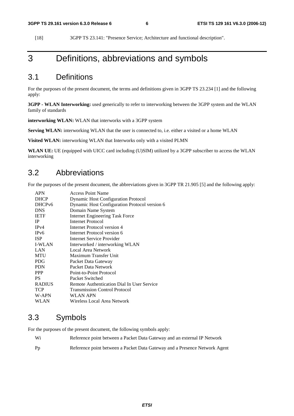[18] 3GPP TS 23.141: "Presence Service; Architecture and functional description".

### 3 Definitions, abbreviations and symbols

### 3.1 Definitions

For the purposes of the present document, the terms and definitions given in 3GPP TS 23.234 [1] and the following apply:

**3GPP - WLAN Interworking:** used generically to refer to interworking between the 3GPP system and the WLAN family of standards

**interworking WLAN:** WLAN that interworks with a 3GPP system

Serving WLAN: interworking WLAN that the user is connected to, i.e. either a visited or a home WLAN

**Visited WLAN:** interworking WLAN that Interworks only with a visited PLMN

**WLAN UE:** UE (equipped with UICC card including (U)SIM) utilized by a 3GPP subscriber to access the WLAN interworking

### 3.2 Abbreviations

For the purposes of the present document, the abbreviations given in 3GPP TR 21.905 [5] and the following apply:

| <b>APN</b>         | <b>Access Point Name</b>                      |
|--------------------|-----------------------------------------------|
| <b>DHCP</b>        | <b>Dynamic Host Configuration Protocol</b>    |
| DHCP <sub>v6</sub> | Dynamic Host Configuration Protocol version 6 |
| <b>DNS</b>         | Domain Name System                            |
| <b>IETF</b>        | <b>Internet Engineering Task Force</b>        |
| <b>IP</b>          | Internet Protocol                             |
| IPv4               | Internet Protocol version 4                   |
| IP <sub>v</sub> 6  | Internet Protocol version 6                   |
| <b>ISP</b>         | Internet Service Provider                     |
| <b>I-WLAN</b>      | Interworked / interworking WLAN               |
| LAN                | Local Area Network                            |
| <b>MTU</b>         | Maximum Transfer Unit                         |
| <b>PDG</b>         | Packet Data Gateway                           |
| <b>PDN</b>         | Packet Data Network                           |
| <b>PPP</b>         | Point-to-Point Protocol                       |
| <b>PS</b>          | Packet Switched                               |
| <b>RADIUS</b>      | Remote Authentication Dial In User Service    |
| <b>TCP</b>         | <b>Transmission Control Protocol</b>          |
| W-APN              | WLAN APN                                      |
| WLAN               | Wireless Local Area Network                   |
|                    |                                               |

### 3.3 Symbols

For the purposes of the present document, the following symbols apply:

| - Wi           | Reference point between a Packet Data Gateway and an external IP Network   |
|----------------|----------------------------------------------------------------------------|
| P <sub>D</sub> | Reference point between a Packet Data Gateway and a Presence Network Agent |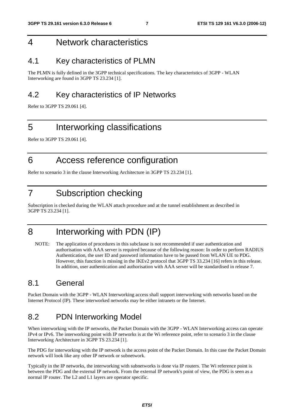### 4 Network characteristics

### 4.1 Key characteristics of PLMN

The PLMN is fully defined in the 3GPP technical specifications. The key characteristics of 3GPP - WLAN Interworking are found in 3GPP TS 23.234 [1].

### 4.2 Key characteristics of IP Networks

Refer to 3GPP TS 29.061 [4].

### 5 Interworking classifications

Refer to 3GPP TS 29.061 [4].

### 6 Access reference configuration

Refer to scenario 3 in the clause Interworking Architecture in 3GPP TS 23.234 [1].

### 7 Subscription checking

Subscription is checked during the WLAN attach procedure and at the tunnel establishment as described in 3GPP TS 23.234 [1].

### 8 Interworking with PDN (IP)

NOTE: The application of procedures in this subclause is not recommended if user authentication and authorisation with AAA server is required because of the following reason: In order to perform RADIUS Authentication, the user ID and password information have to be passed from WLAN UE to PDG. However, this function is missing in the IKEv2 protocol that 3GPP TS 33.234 [16] refers in this release. In addition, user authentication and authorisation with AAA server will be standardised in release 7.

### 8.1 General

Packet Domain with the 3GPP - WLAN Interworking access shall support interworking with networks based on the Internet Protocol (IP). These interworked networks may be either intranets or the Internet.

### 8.2 PDN Interworking Model

When interworking with the IP networks, the Packet Domain with the 3GPP - WLAN Interworking access can operate IPv4 or IPv6. The interworking point with IP networks is at the Wi reference point, refer to scenario 3 in the clause Interworking Architecture in 3GPP TS 23.234 [1].

The PDG for interworking with the IP network is the access point of the Packet Domain. In this case the Packet Domain network will look like any other IP network or subnetwork.

Typically in the IP networks, the interworking with subnetworks is done via IP routers. The Wi reference point is between the PDG and the external IP network. From the external IP network's point of view, the PDG is seen as a normal IP router. The L2 and L1 layers are operator specific.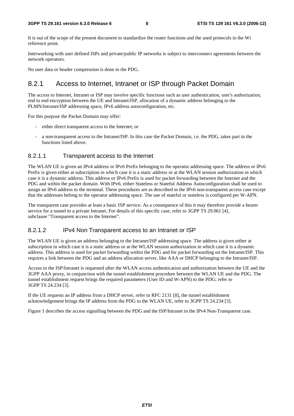It is out of the scope of the present document to standardize the router functions and the used protocols in the Wi reference point.

Interworking with user defined ISPs and private/public IP networks is subject to interconnect agreements between the network operators.

No user data or header compression is done in the PDG.

### 8.2.1 Access to Internet, Intranet or ISP through Packet Domain

The access to Internet, Intranet or ISP may involve specific functions such as user authentication, user's authorization, end to end encryption between the UE and Intranet/ISP, allocation of a dynamic address belonging to the PLMN/Intranet/ISP addressing space, IPv6 address autoconfiguration, etc.

For this purpose the Packet Domain may offer:

- either direct transparent access to the Internet; or
- a non-transparent access to the Intranet/ISP. In this case the Packet Domain, i.e. the PDG, takes part in the functions listed above.

#### 8.2.1.1 Transparent access to the Internet

The WLAN UE is given an IPv4 address or IPv6 Prefix belonging to the operator addressing space. The address or IPv6 Prefix is given either at subscription in which case it is a static address or at the WLAN session authorization in which case it is a dynamic address. This address or IPv6 Prefix is used for packet forwarding between the Internet and the PDG and within the packet domain. With IPv6, either Stateless or Stateful Address Autoconfiguration shall be used to assign an IPv6 address to the terminal. These procedures are as described in the IPv6 non-transparent access case except that the addresses belong to the operator addressing space. The use of stateful or stateless is configured per W-APN.

The transparent case provides at least a basic ISP service. As a consequence of this it may therefore provide a bearer service for a tunnel to a private Intranet. For details of this specific case, refer to 3GPP TS 29.061 [4], subclause "Transparent access to the Internet".

#### 8.2.1.2 IPv4 Non Transparent access to an Intranet or ISP

The WLAN UE is given an address belonging to the Intranet/ISP addressing space. The address is given either at subscription in which case it is a static address or at the WLAN session authorization in which case it is a dynamic address. This address is used for packet forwarding within the PDG and for packet forwarding on the Intranet/ISP. This requires a link between the PDG and an address allocation server, like AAA or DHCP belonging to the Intranet/ISP.

Access to the ISP/Intranet is requested after the WLAN access authentication and authorization between the UE and the 3GPP AAA proxy, in conjunction with the tunnel establishment procedure between the WLAN UE and the PDG. The tunnel establishment request brings the required parameters (User ID and W-APN) to the PDG; refer to 3GPP TS 24.234 [3].

If the UE requests an IP address from a DHCP server, refer to RFC 2131 [8], the tunnel establishment acknowledgement brings the IP address from the PDG to the WLAN UE, refer to 3GPP TS 24.234 [3].

Figure 1 describes the access signalling between the PDG and the ISP/Intranet in the IPv4 Non-Transparent case.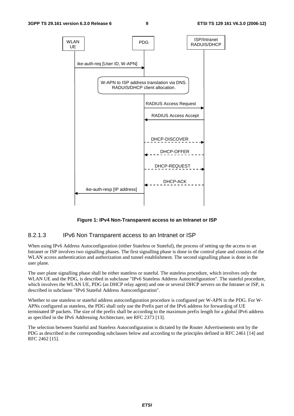

**Figure 1: IPv4 Non-Transparent access to an Intranet or ISP** 

#### 8.2.1.3 IPv6 Non Transparent access to an Intranet or ISP

When using IPv6 Address Autoconfiguration (either Stateless or Stateful), the process of setting up the access to an Intranet or ISP involves two signalling phases. The first signalling phase is done in the control plane and consists of the WLAN access authentication and authorization and tunnel establishment. The second signalling phase is done in the user plane.

The user plane signalling phase shall be either stateless or stateful. The stateless procedure, which involves only the WLAN UE and the PDG, is described in subclause "IPv6 Stateless Address Autoconfiguration". The stateful procedure, which involves the WLAN UE, PDG (as DHCP relay agent) and one or several DHCP servers on the Intranet or ISP, is described in subclause "IPv6 Stateful Address Autoconfiguration".

Whether to use stateless or stateful address autoconfiguration procedure is configured per W-APN in the PDG. For W-APNs configured as stateless, the PDG shall only use the Prefix part of the IPv6 address for forwarding of UE terminated IP packets. The size of the prefix shall be according to the maximum prefix length for a global IPv6 address as specified in the IPv6 Addressing Architecture, see RFC 2373 [13].

The selection between Stateful and Stateless Autoconfiguration is dictated by the Router Advertisements sent by the PDG as described in the corresponding subclauses below and according to the principles defined in RFC 2461 [14] and RFC 2462 [15].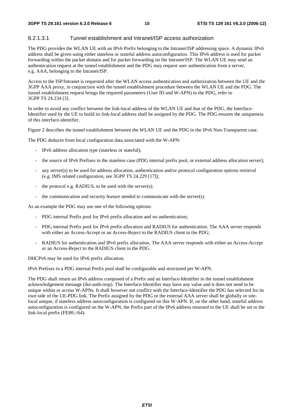#### 8.2.1.3.1 Tunnel establishment and Intranet/ISP access authorization

The PDG provides the WLAN UE with an IPv6 Prefix belonging to the Intranet/ISP addressing space. A dynamic IPv6 address shall be given using either stateless or stateful address autoconfiguration. This IPv6 address is used for packet forwarding within the packet domain and for packet forwarding on the Intranet/ISP. The WLAN UE may send an authentication request at the tunnel establishment and the PDG may request user authentication from a server, e.g. AAA, belonging to the Intranet/ISP.

Access to the ISP/Intranet is requested after the WLAN access authentication and authorization between the UE and the 3GPP AAA proxy, in conjunction with the tunnel establishment procedure between the WLAN UE and the PDG. The tunnel establishment request brings the required parameters (User ID and W-APN) to the PDG, refer to 3GPP TS 24.234 [3].

In order to avoid any conflict between the link-local address of the WLAN UE and that of the PDG, the Interface-Identifier used by the UE to build its link-local address shall be assigned by the PDG. The PDG ensures the uniqueness of this interface-identifier.

Figure 2 describes the tunnel establishment between the WLAN UE and the PDG in the IPv6 Non-Transparent case.

The PDG deduces from local configuration data associated with the W-APN:

- IPv6 address allocation type (stateless or stateful);
- the source of IPv6 Prefixes in the stateless case (PDG internal prefix pool, or external address allocation server);
- any server(s) to be used for address allocation, authentication and/or protocol configuration options retrieval (e.g. IMS related configuration, see 3GPP TS 24.229 [17]);
- the protocol e.g. RADIUS, to be used with the server(s);
- the communication and security feature needed to communicate with the server(s).

As an example the PDG may use one of the following options:

- PDG internal Prefix pool for IPv6 prefix allocation and no authentication;
- PDG internal Prefix pool for IPv6 prefix allocation and RADIUS for authentication. The AAA server responds with either an Access-Accept or an Access-Reject to the RADIUS client in the PDG;
- RADIUS for authentication and IPv6 prefix allocation. The AAA server responds with either an Access-Accept or an Access-Reject to the RADIUS client in the PDG.

DHCPv6 may be used for IPv6 prefix allocation.

IPv6 Prefixes in a PDG internal Prefix pool shall be configurable and structured per W-APN.

The PDG shall return an IPv6 address composed of a Prefix and an Interface-Identifier in the tunnel establishment acknowledgement message (ike-auth-resp). The Interface-Identifier may have any value and it does not need to be unique within or across W-APNs. It shall however not conflict with the Interface-Identifier the PDG has selected for its own side of the UE-PDG link. The Prefix assigned by the PDG or the external AAA server shall be globally or sitelocal unique, if stateless address autoconfiguration is configured on this W-APN. If, on the other hand, stateful address autoconfiguration is configured on the W-APN, the Prefix part of the IPv6 address returned to the UE shall be set to the link-local prefix (FE80::/64).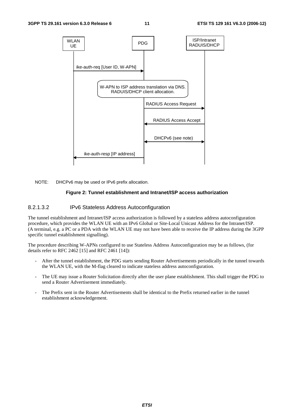

NOTE: DHCPv6 may be used or IPv6 prefix allocation.

#### **Figure 2: Tunnel establishment and Intranet/ISP access authorization**

#### 8.2.1.3.2 IPv6 Stateless Address Autoconfiguration

The tunnel establishment and Intranet/ISP access authorization is followed by a stateless address autoconfiguration procedure, which provides the WLAN UE with an IPv6 Global or Site-Local Unicast Address for the Intranet/ISP. (A terminal, e.g. a PC or a PDA with the WLAN UE may not have been able to receive the IP address during the 3GPP specific tunnel establishment signalling).

The procedure describing W-APNs configured to use Stateless Address Autoconfiguration may be as follows, (for details refer to RFC 2462 [15] and RFC 2461 [14]):

- After the tunnel establishment, the PDG starts sending Router Advertisements periodically in the tunnel towards the WLAN UE, with the M-flag cleared to indicate stateless address autoconfiguration.
- The UE may issue a Router Solicitation directly after the user plane establishment. This shall trigger the PDG to send a Router Advertisement immediately.
- The Prefix sent in the Router Advertisements shall be identical to the Prefix returned earlier in the tunnel establishment acknowledgement.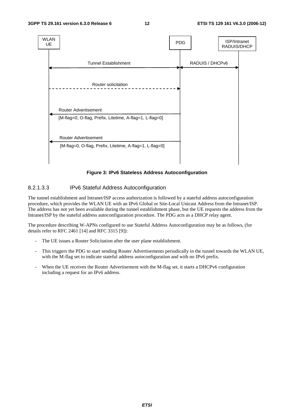

**Figure 3: IPv6 Stateless Address Autoconfiguration** 

#### 8.2.1.3.3 IPv6 Stateful Address Autoconfiguration

The tunnel establishment and Intranet/ISP access authorization is followed by a stateful address autoconfiguration procedure, which provides the WLAN UE with an IPv6 Global or Site-Local Unicast Address from the Intranet/ISP. The address has not yet been available during the tunnel establishment phase, but the UE requests the address from the Intranet/ISP by the stateful address autoconfiguration procedure. The PDG acts as a DHCP relay agent.

The procedure describing W-APNs configured to use Stateful Address Autoconfiguration may be as follows, (for details refer to RFC 2461 [14] and RFC 3315 [9]):

- The UE issues a Router Solicitation after the user plane establishment.
- This triggers the PDG to start sending Router Advertisements periodically in the tunnel towards the WLAN UE, with the M-flag set to indicate stateful address autoconfiguration and with no IPv6 prefix.
- When the UE receives the Router Advertisement with the M-flag set, it starts a DHCPv6 configuration including a request for an IPv6 address.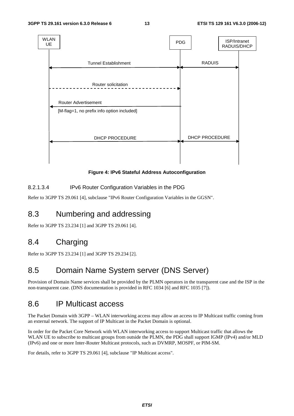

**Figure 4: IPv6 Stateful Address Autoconfiguration** 

#### 8.2.1.3.4 IPv6 Router Configuration Variables in the PDG

Refer to 3GPP TS 29.061 [4], subclause "IPv6 Router Configuration Variables in the GGSN".

### 8.3 Numbering and addressing

Refer to 3GPP TS 23.234 [1] and 3GPP TS 29.061 [4].

### 8.4 Charging

Refer to 3GPP TS 23.234 [1] and 3GPP TS 29.234 [2].

### 8.5 Domain Name System server (DNS Server)

Provision of Domain Name services shall be provided by the PLMN operators in the transparent case and the ISP in the non-transparent case. (DNS documentation is provided in RFC 1034 [6] and RFC 1035 [7]).

### 8.6 IP Multicast access

The Packet Domain with 3GPP – WLAN interworking access may allow an access to IP Multicast traffic coming from an external network. The support of IP Multicast in the Packet Domain is optional.

In order for the Packet Core Network with WLAN interworking access to support Multicast traffic that allows the WLAN UE to subscribe to multicast groups from outside the PLMN, the PDG shall support IGMP (IPv4) and/or MLD (IPv6) and one or more Inter-Router Multicast protocols, such as DVMRP, MOSPF, or PIM-SM.

For details, refer to 3GPP TS 29.061 [4], subclause "IP Multicast access".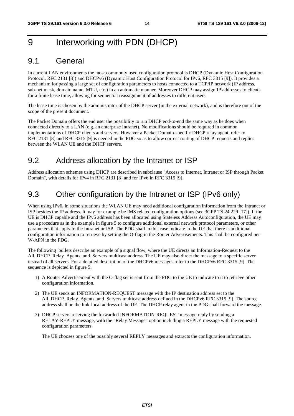### 9 Interworking with PDN (DHCP)

### 9.1 General

In current LAN environments the most commonly used configuration protocol is DHCP (Dynamic Host Configuration Protocol, RFC 2131 [8]) and DHCPv6 (Dynamic Host Configuration Protocol for IPv6, RFC 3315 [9]). It provides a mechanism for passing a large set of configuration parameters to hosts connected to a TCP/IP network (IP address, sub-net mask, domain name, MTU, etc.) in an automatic manner. Moreover DHCP may assign IP addresses to clients for a finite lease time, allowing for sequential reassignment of addresses to different users.

The lease time is chosen by the administrator of the DHCP server (in the external network), and is therefore out of the scope of the present document.

The Packet Domain offers the end user the possibility to run DHCP end-to-end the same way as he does when connected directly to a LAN (e.g. an enterprise Intranet). No modifications should be required in common implementations of DHCP clients and servers. However a Packet Domain-specific DHCP relay agent, refer to RFC 2131 [8] and RFC 3315 [9],is needed in the PDG so as to allow correct routing of DHCP requests and replies between the WLAN UE and the DHCP servers.

### 9.2 Address allocation by the Intranet or ISP

Address allocation schemes using DHCP are described in subclause "Access to Internet, Intranet or ISP through Packet Domain", with details for IPv4 in RFC 2131 [8] and for IPv6 in RFC 3315 [9].

### 9.3 Other configuration by the Intranet or ISP (IPv6 only)

When using IPv6, in some situations the WLAN UE may need additional configuration information from the Intranet or ISP besides the IP address. It may for example be IMS related configuration options (see 3GPP TS 24.229 [17]). If the UE is DHCP capable and the IPv6 address has been allocated using Stateless Address Autoconfiguration, the UE may use a procedure as in the example in figure 5 to configure additional external network protocol parameters, or other parameters that apply to the Intranet or ISP. The PDG shall in this case indicate to the UE that there is additional configuration information to retrieve by setting the O-flag in the Router Advertisements. This shall be configured per W-APN in the PDG.

The following bullets describe an example of a signal flow, where the UE directs an Information-Request to the All\_DHCP\_Relay\_Agents\_and\_Servers multicast address. The UE may also direct the message to a specific server instead of all servers. For a detailed description of the DHCPv6 messages refer to the DHCPv6 RFC 3315 [9]. The sequence is depicted in figure 5.

- 1) A Router Advertisement with the O-flag set is sent from the PDG to the UE to indicate to it to retrieve other configuration information.
- 2) The UE sends an INFORMATION-REQUEST message with the IP destination address set to the All\_DHCP\_Relay\_Agents\_and\_Servers multicast address defined in the DHCPv6 RFC 3315 [9]. The source address shall be the link-local address of the UE. The DHCP relay agent in the PDG shall forward the message.
- 3) DHCP servers receiving the forwarded INFORMATION-REQUEST message reply by sending a RELAY-REPLY message, with the "Relay Message" option including a REPLY message with the requested configuration parameters.

The UE chooses one of the possibly several REPLY messages and extracts the configuration information.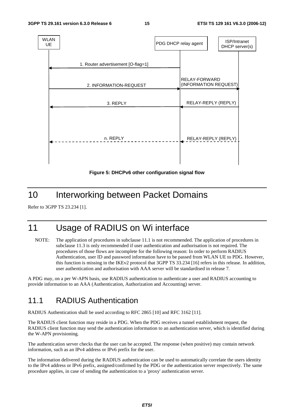

**Figure 5: DHCPv6 other configuration signal flow** 

### 10 Interworking between Packet Domains

Refer to 3GPP TS 23.234 [1].

### 11 Usage of RADIUS on Wi interface

NOTE: The application of procedures in subclause 11.1 is not recommended. The application of procedures in subclause 11.3 is only recommended if user authentication and authorisation is not required. The procedures of those flows are incomplete for the following reason: In order to perform RADIUS Authentication, user ID and password information have to be passed from WLAN UE to PDG. However, this function is missing in the IKEv2 protocol that 3GPP TS 33.234 [16] refers in this release. In addition, user authentication and authorisation with AAA server will be standardised in release 7.

A PDG may, on a per W-APN basis, use RADIUS authentication to authenticate a user and RADIUS accounting to provide information to an AAA (Authentication, Authorization and Accounting) server.

### 11.1 RADIUS Authentication

RADIUS Authentication shall be used according to RFC 2865 [10] and RFC 3162 [11].

The RADIUS client function may reside in a PDG. When the PDG receives a tunnel establishment request, the RADIUS client function may send the authentication information to an authentication server, which is identified during the W-APN provisioning.

The authentication server checks that the user can be accepted. The response (when positive) may contain network information, such as an IPv4 address or IPv6 prefix for the user.

The information delivered during the RADIUS authentication can be used to automatically correlate the users identity to the IPv4 address or IPv6 prefix, assigned/confirmed by the PDG or the authentication server respectively. The same procedure applies, in case of sending the authentication to a 'proxy' authentication server.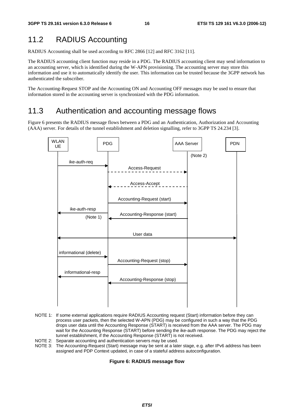### 11.2 RADIUS Accounting

RADIUS Accounting shall be used according to RFC 2866 [12] and RFC 3162 [11].

The RADIUS accounting client function may reside in a PDG. The RADIUS accounting client may send information to an accounting server, which is identified during the W-APN provisioning. The accounting server may store this information and use it to automatically identify the user. This information can be trusted because the 3GPP network has authenticated the subscriber.

The Accounting-Request STOP and the Accounting ON and Accounting OFF messages may be used to ensure that information stored in the accounting server is synchronized with the PDG information.

### 11.3 Authentication and accounting message flows

Figure 6 presents the RADIUS message flows between a PDG and an Authentication, Authorization and Accounting (AAA) server. For details of the tunnel establishment and deletion signalling, refer to 3GPP TS 24.234 [3].



- NOTE 1: If some external applications require RADIUS Accounting request (Start) information before they can process user packets, then the selected W-APN (PDG) may be configured in such a way that the PDG drops user data until the Accounting Response (START) is received from the AAA server. The PDG may wait for the Accounting Response (START) before sending the ike-auth response. The PDG may reject the tunnel establishment, if the Accounting Response (START) is not received.
- NOTE 2: Separate accounting and authentication servers may be used.
- NOTE 3: The Accounting-Request (Start) message may be sent at a later stage, e.g. after IPv6 address has been assigned and PDP Context updated, in case of a stateful address autoconfiguration.

#### **Figure 6: RADIUS message flow**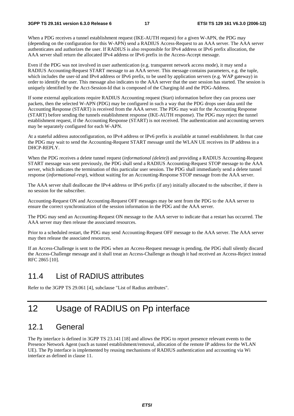When a PDG receives a tunnel establishment request (IKE-AUTH request) for a given W-APN, the PDG may (depending on the configuration for this W-APN) send a RADIUS Access-Request to an AAA server. The AAA server authenticates and authorizes the user. If RADIUS is also responsible for IPv4 address or IPv6 prefix allocation, the AAA server shall return the allocated IPv4 address or IPv6 prefix in the Access-Accept message.

Even if the PDG was not involved in user authentication (e.g. transparent network access mode), it may send a RADIUS Accounting-Request START message to an AAA server. This message contains parameters, e.g. the tuple, which includes the user-id and IPv4 address or IPv6 prefix, to be used by application servers (e.g. WAP gateway) in order to identify the user. This message also indicates to the AAA server that the user session has started. The session is uniquely identified by the Acct-Session-Id that is composed of the Charging-Id and the PDG-Address.

If some external applications require RADIUS Accounting request (Start) information before they can process user packets, then the selected W-APN (PDG) may be configured in such a way that the PDG drops user data until the Accounting Response (START) is received from the AAA server. The PDG may wait for the Accounting Response (START) before sending the tunnels establishment response (IKE-AUTH response). The PDG may reject the tunnel establishment request, if the Accounting Response (START) is not received. The authentication and accounting servers may be separately configured for each W-APN.

At a stateful address autoconfiguration, no IPv4 address or IPv6 prefix is available at tunnel establishment. In that case the PDG may wait to send the Accounting-Request START message until the WLAN UE receives its IP address in a DHCP-REPLY.

When the PDG receives a delete tunnel request (*informational (delete)*) and providing a RADIUS Accounting-Request START message was sent previously, the PDG shall send a RADIUS Accounting-Request STOP message to the AAA server, which indicates the termination of this particular user session. The PDG shall immediately send a delete tunnel response (*informational-resp*), without waiting for an Accounting-Response STOP message from the AAA server.

The AAA server shall deallocate the IPv4 address or IPv6 prefix (if any) initially allocated to the subscriber, if there is no session for the subscriber.

Accounting-Request ON and Accounting-Request OFF messages may be sent from the PDG to the AAA server to ensure the correct synchronization of the session information in the PDG and the AAA server.

The PDG may send an Accounting-Request ON message to the AAA server to indicate that a restart has occurred. The AAA server may then release the associated resources.

Prior to a scheduled restart, the PDG may send Accounting-Request OFF message to the AAA server. The AAA server may then release the associated resources.

If an Access-Challenge is sent to the PDG when an Access-Request message is pending, the PDG shall silently discard the Access-Challenge message and it shall treat an Access-Challenge as though it had received an Access-Reject instead RFC 2865 [10].

### 11.4 List of RADIUS attributes

Refer to the 3GPP TS 29.061 [4], subclause "List of Radius attributes".

### 12 Usage of RADIUS on Pp interface

### 12.1 General

The Pp interface is defined in 3GPP TS 23.141 [18] and allows the PDG to report presence relevant events to the Presence Network Agent (such as tunnel establishment/removal, allocation of the remote IP address for the WLAN UE). The Pp interface is implemented by reusing mechanisms of RADIUS authentication and accounting via Wi interface as defined in clause 11.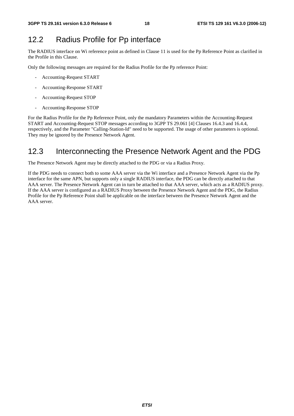### 12.2 Radius Profile for Pp interface

The RADIUS interface on Wi reference point as defined in Clause 11 is used for the Pp Reference Point as clarified in the Profile in this Clause.

Only the following messages are required for the Radius Profile for the Pp reference Point:

- Accounting-Request START
- Accounting-Response START
- Accounting-Request STOP
- Accounting-Response STOP

For the Radius Profile for the Pp Reference Point, only the mandatory Parameters within the Accounting-Request START and Accounting-Request STOP messages according to 3GPP TS 29.061 [4] Clauses 16.4.3 and 16.4.4, respectively, and the Parameter "Calling-Station-Id" need to be supported. The usage of other parameters is optional. They may be ignored by the Presence Network Agent.

### 12.3 Interconnecting the Presence Network Agent and the PDG

The Presence Network Agent may be directly attached to the PDG or via a Radius Proxy.

If the PDG needs to connect both to some AAA server via the Wi interface and a Presence Network Agent via the Pp interface for the same APN, but supports only a single RADIUS interface, the PDG can be directly attached to that AAA server. The Presence Network Agent can in turn be attached to that AAA server, which acts as a RADIUS proxy. If the AAA server is configured as a RADIUS Proxy between the Presence Network Agent and the PDG, the Radius Profile for the Pp Reference Point shall be applicable on the interface between the Presence Network Agent and the AAA server.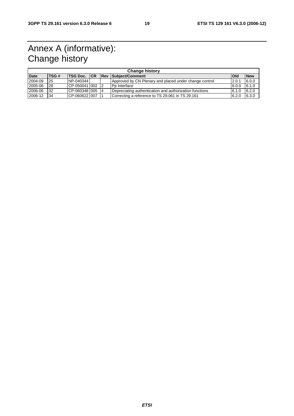### Annex A (informative): Change history

| <b>Change history</b> |             |                      |  |     |                                                         |            |            |  |
|-----------------------|-------------|----------------------|--|-----|---------------------------------------------------------|------------|------------|--|
| <b>Date</b>           | <b>TSG#</b> | <b>ITSG Doc. ICR</b> |  | ReV | Subject/Comment                                         | <b>Old</b> | <b>New</b> |  |
| 2004-09               | 25          | NP-040344            |  |     | Approved by CN Plenary and placed under change control  | 2.0.1      | 6.0.0      |  |
| 2005-06               | 28          | ICP-050041100212     |  |     | Po Interface                                            | 6.0.0      | 6.1.0      |  |
| 2006-06               | 32          | CP-060348 005        |  |     | Depreciating authentication and authorization functions | 6.1.0      | 6.2.0      |  |
| 2006-12               | 34          | CP-0606221007        |  |     | Correcting a reference to TS 29.061 in TS 29.161        | 6.2.0      | 6.3.0      |  |